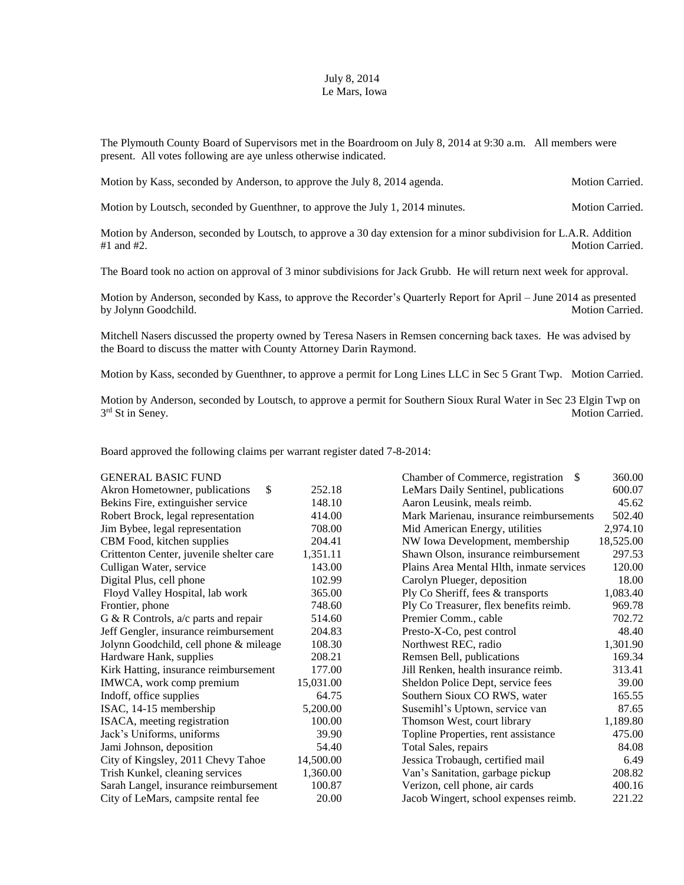## July 8, 2014 Le Mars, Iowa

The Plymouth County Board of Supervisors met in the Boardroom on July 8, 2014 at 9:30 a.m. All members were present. All votes following are aye unless otherwise indicated.

Motion by Kass, seconded by Anderson, to approve the July 8, 2014 agenda. Motion Carried.

Motion by Loutsch, seconded by Guenthner, to approve the July 1, 2014 minutes. Motion Carried.

Motion by Anderson, seconded by Loutsch, to approve a 30 day extension for a minor subdivision for L.A.R. Addition #1 and #2. Motion Carried.

The Board took no action on approval of 3 minor subdivisions for Jack Grubb. He will return next week for approval.

Motion by Anderson, seconded by Kass, to approve the Recorder's Quarterly Report for April – June 2014 as presented by Jolynn Goodchild. Motion Carried. Motion Carried.

Mitchell Nasers discussed the property owned by Teresa Nasers in Remsen concerning back taxes. He was advised by the Board to discuss the matter with County Attorney Darin Raymond.

Motion by Kass, seconded by Guenthner, to approve a permit for Long Lines LLC in Sec 5 Grant Twp. Motion Carried.

Motion by Anderson, seconded by Loutsch, to approve a permit for Southern Sioux Rural Water in Sec 23 Elgin Twp on 3<sup>rd</sup> St in Seney. Motion Carried.

Board approved the following claims per warrant register dated 7-8-2014:

| <b>GENERAL BASIC FUND</b>                |           | Chamber of Commerce, registration<br>-S  | 360.00    |
|------------------------------------------|-----------|------------------------------------------|-----------|
| \$<br>Akron Hometowner, publications     | 252.18    | LeMars Daily Sentinel, publications      | 600.07    |
| Bekins Fire, extinguisher service        | 148.10    | Aaron Leusink, meals reimb.              | 45.62     |
| Robert Brock, legal representation       | 414.00    | Mark Marienau, insurance reimbursements  | 502.40    |
| Jim Bybee, legal representation          | 708.00    | Mid American Energy, utilities           | 2,974.10  |
| CBM Food, kitchen supplies               | 204.41    | NW Iowa Development, membership          | 18,525.00 |
| Crittenton Center, juvenile shelter care | 1,351.11  | Shawn Olson, insurance reimbursement     | 297.53    |
| Culligan Water, service                  | 143.00    | Plains Area Mental Hlth, inmate services | 120.00    |
| Digital Plus, cell phone                 | 102.99    | Carolyn Plueger, deposition              | 18.00     |
| Floyd Valley Hospital, lab work          | 365.00    | Ply Co Sheriff, fees & transports        | 1,083.40  |
| Frontier, phone                          | 748.60    | Ply Co Treasurer, flex benefits reimb.   | 969.78    |
| G & R Controls, $a/c$ parts and repair   | 514.60    | Premier Comm., cable                     | 702.72    |
| Jeff Gengler, insurance reimbursement    | 204.83    | Presto-X-Co, pest control                | 48.40     |
| Jolynn Goodchild, cell phone & mileage   | 108.30    | Northwest REC, radio                     | 1,301.90  |
| Hardware Hank, supplies                  | 208.21    | Remsen Bell, publications                | 169.34    |
| Kirk Hatting, insurance reimbursement    | 177.00    | Jill Renken, health insurance reimb.     | 313.41    |
| IMWCA, work comp premium                 | 15,031.00 | Sheldon Police Dept, service fees        | 39.00     |
| Indoff, office supplies                  | 64.75     | Southern Sioux CO RWS, water             | 165.55    |
| ISAC, 14-15 membership                   | 5,200.00  | Susemihl's Uptown, service van           | 87.65     |
| ISACA, meeting registration              | 100.00    | Thomson West, court library              | 1,189.80  |
| Jack's Uniforms, uniforms                | 39.90     | Topline Properties, rent assistance      | 475.00    |
| Jami Johnson, deposition                 | 54.40     | Total Sales, repairs                     | 84.08     |
| City of Kingsley, 2011 Chevy Tahoe       | 14,500.00 | Jessica Trobaugh, certified mail         | 6.49      |
| Trish Kunkel, cleaning services          | 1,360.00  | Van's Sanitation, garbage pickup         | 208.82    |
| Sarah Langel, insurance reimbursement    | 100.87    | Verizon, cell phone, air cards           | 400.16    |
| City of LeMars, campsite rental fee      | 20.00     | Jacob Wingert, school expenses reimb.    | 221.22    |